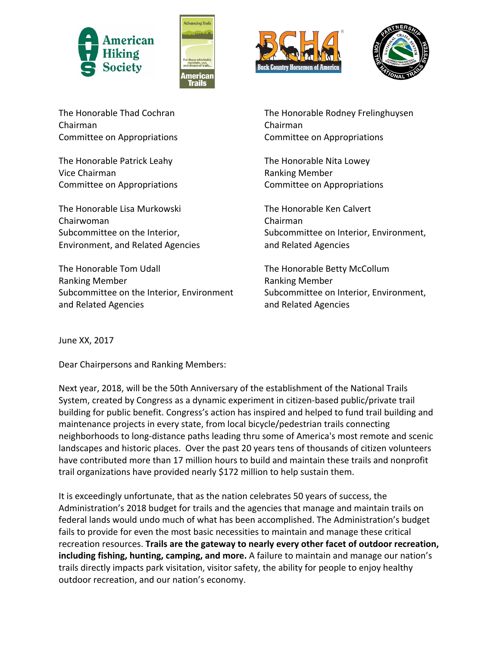







The Honorable Thad Cochran Chairman Committee on Appropriations

The Honorable Patrick Leahy Vice Chairman Committee on Appropriations

The Honorable Lisa Murkowski Chairwoman Subcommittee on the Interior, Environment, and Related Agencies 

The Honorable Tom Udall Ranking Member Subcommittee on the Interior, Environment and Related Agencies

The Honorable Rodney Frelinghuysen Chairman Committee on Appropriations

The Honorable Nita Lowey Ranking Member Committee on Appropriations

The Honorable Ken Calvert Chairman Subcommittee on Interior, Environment, and Related Agencies

The Honorable Betty McCollum Ranking Member Subcommittee on Interior, Environment, and Related Agencies

June XX, 2017

Dear Chairpersons and Ranking Members:

Next year, 2018, will be the 50th Anniversary of the establishment of the National Trails System, created by Congress as a dynamic experiment in citizen-based public/private trail building for public benefit. Congress's action has inspired and helped to fund trail building and maintenance projects in every state, from local bicycle/pedestrian trails connecting neighborhoods to long-distance paths leading thru some of America's most remote and scenic landscapes and historic places. Over the past 20 years tens of thousands of citizen volunteers have contributed more than 17 million hours to build and maintain these trails and nonprofit trail organizations have provided nearly \$172 million to help sustain them.

It is exceedingly unfortunate, that as the nation celebrates 50 years of success, the Administration's 2018 budget for trails and the agencies that manage and maintain trails on federal lands would undo much of what has been accomplished. The Administration's budget fails to provide for even the most basic necessities to maintain and manage these critical recreation resources. **Trails are the gateway to nearly every other facet of outdoor recreation, including fishing, hunting, camping, and more.** A failure to maintain and manage our nation's trails directly impacts park visitation, visitor safety, the ability for people to enjoy healthy outdoor recreation, and our nation's economy.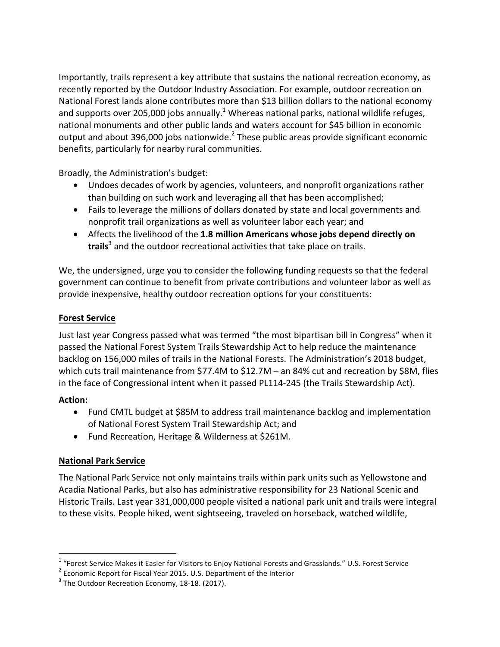Importantly, trails represent a key attribute that sustains the national recreation economy, as recently reported by the Outdoor Industry Association. For example, outdoor recreation on National Forest lands alone contributes more than \$13 billion dollars to the national economy and supports over 205,000 jobs annually.<sup>1</sup> Whereas national parks, national wildlife refuges, national monuments and other public lands and waters account for \$45 billion in economic output and about 396,000 jobs nationwide. $^2$  These public areas provide significant economic benefits, particularly for nearby rural communities.

Broadly, the Administration's budget:

- Undoes decades of work by agencies, volunteers, and nonprofit organizations rather than building on such work and leveraging all that has been accomplished;
- Fails to leverage the millions of dollars donated by state and local governments and nonprofit trail organizations as well as volunteer labor each year; and
- Affects the livelihood of the 1.8 million Americans whose jobs depend directly on **trails**<sup>3</sup> and the outdoor recreational activities that take place on trails.

We, the undersigned, urge you to consider the following funding requests so that the federal government can continue to benefit from private contributions and volunteer labor as well as provide inexpensive, healthy outdoor recreation options for your constituents:

### **Forest Service**

Just last year Congress passed what was termed "the most bipartisan bill in Congress" when it passed the National Forest System Trails Stewardship Act to help reduce the maintenance backlog on 156,000 miles of trails in the National Forests. The Administration's 2018 budget, which cuts trail maintenance from \$77.4M to \$12.7M – an 84% cut and recreation by \$8M, flies in the face of Congressional intent when it passed PL114-245 (the Trails Stewardship Act).

#### **Action:**

- Fund CMTL budget at \$85M to address trail maintenance backlog and implementation of National Forest System Trail Stewardship Act; and
- Fund Recreation, Heritage & Wilderness at \$261M.

## **National Park Service**

The National Park Service not only maintains trails within park units such as Yellowstone and Acadia National Parks, but also has administrative responsibility for 23 National Scenic and Historic Trails. Last year 331,000,000 people visited a national park unit and trails were integral to these visits. People hiked, went sightseeing, traveled on horseback, watched wildlife,

 $1$  "Forest Service Makes it Easier for Visitors to Enjoy National Forests and Grasslands." U.S. Forest Service

 $2$  Economic Report for Fiscal Year 2015. U.S. Department of the Interior

 $3$  The Outdoor Recreation Economy, 18-18. (2017).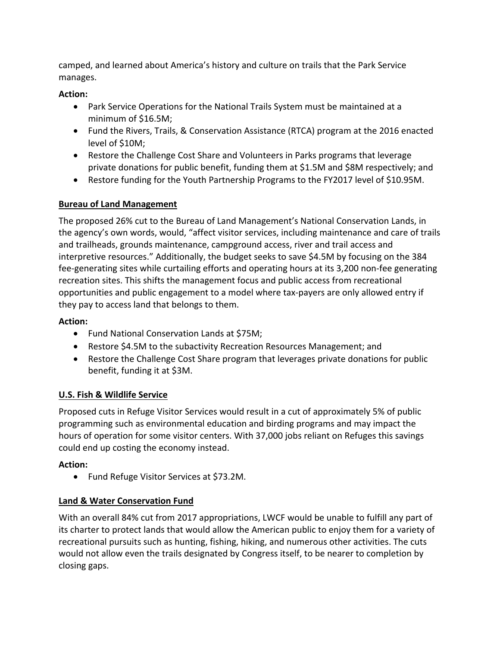camped, and learned about America's history and culture on trails that the Park Service manages. 

#### **Action:**

- Park Service Operations for the National Trails System must be maintained at a minimum of \$16.5M;
- Fund the Rivers, Trails, & Conservation Assistance (RTCA) program at the 2016 enacted level of \$10M;
- Restore the Challenge Cost Share and Volunteers in Parks programs that leverage private donations for public benefit, funding them at \$1.5M and \$8M respectively; and
- Restore funding for the Youth Partnership Programs to the FY2017 level of \$10.95M.

## **Bureau of Land Management**

The proposed 26% cut to the Bureau of Land Management's National Conservation Lands, in the agency's own words, would, "affect visitor services, including maintenance and care of trails and trailheads, grounds maintenance, campground access, river and trail access and interpretive resources." Additionally, the budget seeks to save \$4.5M by focusing on the 384 fee-generating sites while curtailing efforts and operating hours at its 3,200 non-fee generating recreation sites. This shifts the management focus and public access from recreational opportunities and public engagement to a model where tax-payers are only allowed entry if they pay to access land that belongs to them.

## **Action:**

- Fund National Conservation Lands at \$75M;
- Restore \$4.5M to the subactivity Recreation Resources Management; and
- Restore the Challenge Cost Share program that leverages private donations for public benefit, funding it at \$3M.

# **U.S. Fish & Wildlife Service**

Proposed cuts in Refuge Visitor Services would result in a cut of approximately 5% of public programming such as environmental education and birding programs and may impact the hours of operation for some visitor centers. With 37,000 jobs reliant on Refuges this savings could end up costing the economy instead.

## **Action:**

• Fund Refuge Visitor Services at \$73.2M.

# **Land & Water Conservation Fund**

With an overall 84% cut from 2017 appropriations, LWCF would be unable to fulfill any part of its charter to protect lands that would allow the American public to enjoy them for a variety of recreational pursuits such as hunting, fishing, hiking, and numerous other activities. The cuts would not allow even the trails designated by Congress itself, to be nearer to completion by closing gaps.